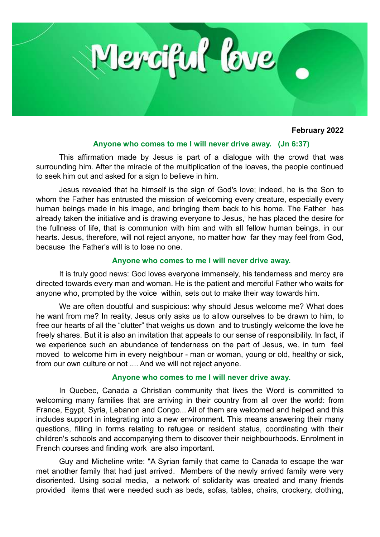

## **February 2022**

### **Anyone who comes to me I will never drive away. (Jn 6:37)**

This affirmation made by Jesus is part of a dialogue with the crowd that was surrounding him. After the miracle of the multiplication of the loaves, the people continued to seek him out and asked for a sign to believe in him.

Jesus revealed that he himself is the sign of God's love; indeed, he is the Son to whom the Father has entrusted the mission of welcoming every creature, especially every human beings made in his image, and bringing them back to his home. The Father has already taken the initiative and is drawing everyone to Jesus, the has placed the desire for the fullness of life, that is communion with him and with all fellow human beings, in our hearts. Jesus, therefore, will not reject anyone, no matter how far they may feel from God, because the Father's will is to lose no one.

### **Anyone who comes to me I will never drive away.**

It is truly good news: God loves everyone immensely, his tenderness and mercy are directed towards every man and woman. He is the patient and merciful Father who waits for anyone who, prompted by the voice within, sets out to make their way towards him.

We are often doubtful and suspicious: why should Jesus welcome me? What does he want from me? In reality, Jesus only asks us to allow ourselves to be drawn to him, to free our hearts of all the "clutter" that weighs us down and to trustingly welcome the love he freely shares. But it is also an invitation that appeals to our sense of responsibility. In fact, if we experience such an abundance of tenderness on the part of Jesus, we, in turn feel moved to welcome him in every neighbour - man or woman, young or old, healthy or sick, from our own culture or not .... And we will not reject anyone.

#### **Anyone who comes to me I will never drive away.**

In Quebec, Canada a Christian community that lives the Word is committed to welcoming many families that are arriving in their country from all over the world: from France, Egypt, Syria, Lebanon and Congo... All of them are welcomed and helped and this includes support in integrating into a new environment. This means answering their many questions, filling in forms relating to refugee or resident status, coordinating with their children's schools and accompanying them to discover their neighbourhoods. Enrolment in French courses and finding work are also important.

Guy and Micheline write: "A Syrian family that came to Canada to escape the war met another family that had just arrived. Members of the newly arrived family were very disoriented. Using social media, a network of solidarity was created and many friends provided items that were needed such as beds, sofas, tables, chairs, crockery, clothing,